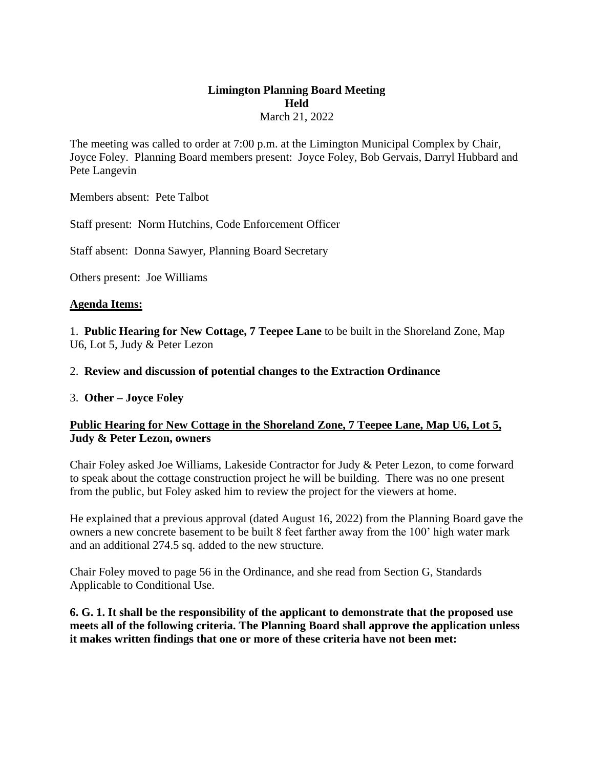## **Limington Planning Board Meeting Held**  March 21, 2022

The meeting was called to order at 7:00 p.m. at the Limington Municipal Complex by Chair, Joyce Foley. Planning Board members present: Joyce Foley, Bob Gervais, Darryl Hubbard and Pete Langevin

Members absent: Pete Talbot

Staff present: Norm Hutchins, Code Enforcement Officer

Staff absent: Donna Sawyer, Planning Board Secretary

Others present: Joe Williams

#### **Agenda Items:**

1. **Public Hearing for New Cottage, 7 Teepee Lane** to be built in the Shoreland Zone, Map U6, Lot 5, Judy & Peter Lezon

### 2. **Review and discussion of potential changes to the Extraction Ordinance**

#### 3. **Other – Joyce Foley**

## **Public Hearing for New Cottage in the Shoreland Zone, 7 Teepee Lane, Map U6, Lot 5, Judy & Peter Lezon, owners**

Chair Foley asked Joe Williams, Lakeside Contractor for Judy & Peter Lezon, to come forward to speak about the cottage construction project he will be building. There was no one present from the public, but Foley asked him to review the project for the viewers at home.

He explained that a previous approval (dated August 16, 2022) from the Planning Board gave the owners a new concrete basement to be built 8 feet farther away from the 100' high water mark and an additional 274.5 sq. added to the new structure.

Chair Foley moved to page 56 in the Ordinance, and she read from Section G, Standards Applicable to Conditional Use.

## **6. G. 1. It shall be the responsibility of the applicant to demonstrate that the proposed use meets all of the following criteria. The Planning Board shall approve the application unless it makes written findings that one or more of these criteria have not been met:**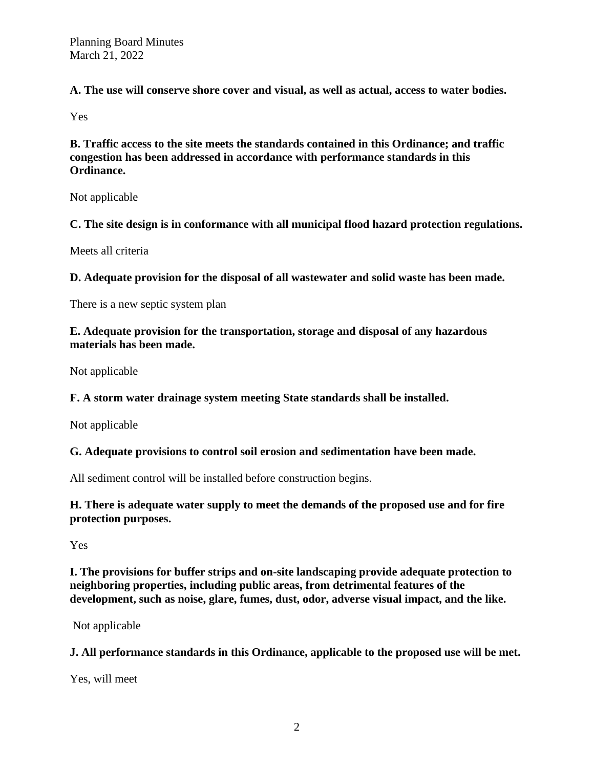**A. The use will conserve shore cover and visual, as well as actual, access to water bodies.** 

Yes

**B. Traffic access to the site meets the standards contained in this Ordinance; and traffic congestion has been addressed in accordance with performance standards in this Ordinance.** 

Not applicable

**C. The site design is in conformance with all municipal flood hazard protection regulations.** 

Meets all criteria

**D. Adequate provision for the disposal of all wastewater and solid waste has been made.** 

There is a new septic system plan

**E. Adequate provision for the transportation, storage and disposal of any hazardous materials has been made.**

Not applicable

# **F. A storm water drainage system meeting State standards shall be installed.**

Not applicable

# **G. Adequate provisions to control soil erosion and sedimentation have been made.**

All sediment control will be installed before construction begins.

**H. There is adequate water supply to meet the demands of the proposed use and for fire protection purposes.** 

Yes

**I. The provisions for buffer strips and on-site landscaping provide adequate protection to neighboring properties, including public areas, from detrimental features of the development, such as noise, glare, fumes, dust, odor, adverse visual impact, and the like.** 

Not applicable

**J. All performance standards in this Ordinance, applicable to the proposed use will be met.** 

Yes, will meet